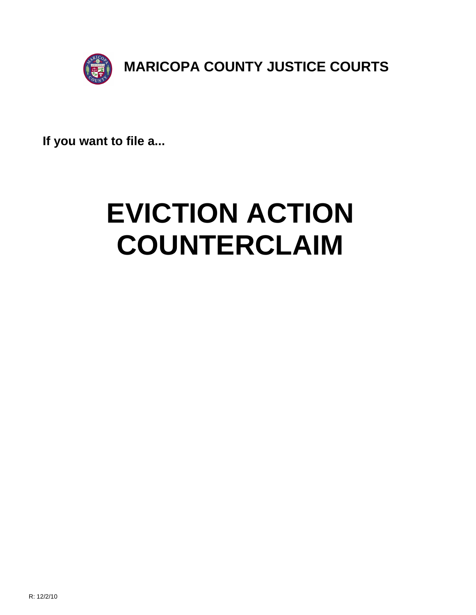

**If you want to file a...**

# **EVICTION ACTION COUNTERCLAIM**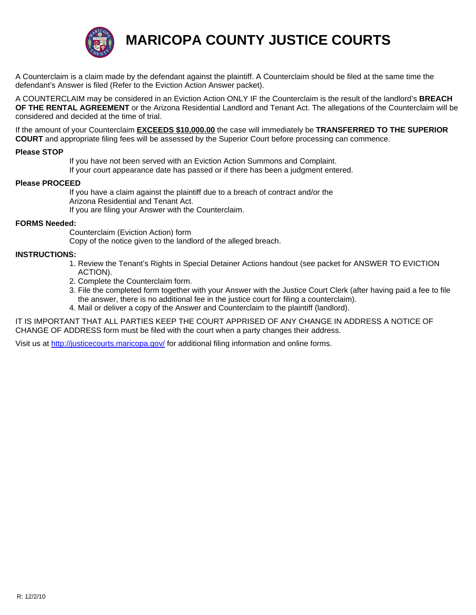

**MARICOPA COUNTY JUSTICE COURTS**

A Counterclaim is a claim made by the defendant against the plaintiff. A Counterclaim should be filed at the same time the defendant's Answer is filed (Refer to the Eviction Action Answer packet).

A COUNTERCLAIM may be considered in an Eviction Action ONLY IF the Counterclaim is the result of the landlord's **BREACH OF THE RENTAL AGREEMENT** or the Arizona Residential Landlord and Tenant Act. The allegations of the Counterclaim will be considered and decided at the time of trial.

If the amount of your Counterclaim **EXCEEDS \$10,000.00** the case will immediately be **TRANSFERRED TO THE SUPERIOR COURT** and appropriate filing fees will be assessed by the Superior Court before processing can commence.

#### **Please STOP**

 If you have not been served with an Eviction Action Summons and Complaint. If your court appearance date has passed or if there has been a judgment entered.

#### **Please PROCEED**

 If you have a claim against the plaintiff due to a breach of contract and/or the Arizona Residential and Tenant Act. If you are filing your Answer with the Counterclaim.

#### **FORMS Needed:**

 Counterclaim (Eviction Action) form Copy of the notice given to the landlord of the alleged breach.

#### **INSTRUCTIONS:**

- 1. Review the Tenant's Rights in Special Detainer Actions handout (see packet for ANSWER TO EVICTION ACTION).
- [2. Complete the Counterclaim](http://justicecourts.maricopa.gov/) form.
- 3. File the completed form together with your Answer with the Justice Court Clerk (after having paid a fee to file the answer, there is no additional fee in the justice court for filing a counterclaim).
- 4. Mail or deliver a copy of the Answer and Counterclaim to the plaintiff (landlord).

IT IS IMPORTANT THAT ALL PARTIES KEEP THE COURT APPRISED OF ANY CHANGE IN ADDRESS A NOTICE OF CHANGE OF ADDRESS form must be filed with the court when a party changes their address.

Visit us at http://justicecourts.maricopa.gov/ for additional filing information and online forms.